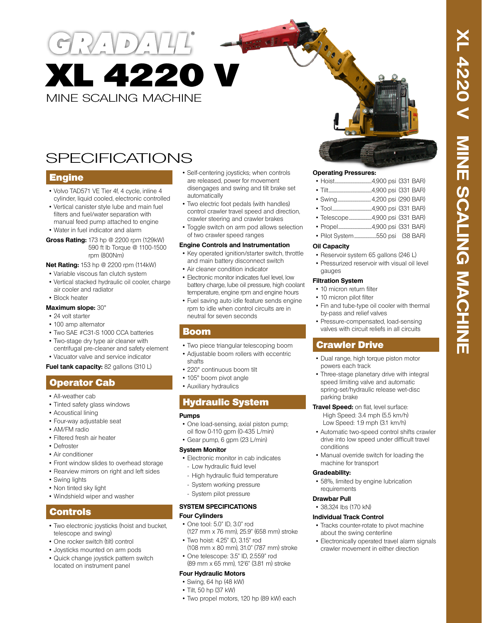MINE SCALING MACHINE XL 4220 V

# **SPECIFICATIONS**

### **Engine**

- Volvo TAD571 VE Tier 4f, 4 cycle, inline 4 cylinder, liquid cooled, electronic controlled
- Vertical canister style lube and main fuel filters and fuel/water separation with manual feed pump attached to engine
- Water in fuel indicator and alarm

**Gross Rating:** 173 hp @ 2200 rpm (129kW) 590 ft lb Torque @ 1100-1500 rpm (800Nm)

#### **Net Rating:** 153 hp @ 2200 rpm (114kW)

- Variable viscous fan clutch system
- Vertical stacked hydraulic oil cooler, charge air cooler and radiator

• Block heater

#### **Maximum slope:** 30°

- 24 volt starter
- 100 amp alternator
- Two SAE #C31-S 1000 CCA batteries
- Two-stage dry type air cleaner with centrifugal pre-cleaner and safety element
- Vacuator valve and service indicator

#### **Fuel tank capacity:** 82 gallons (310 L)

### Operator Cab

- All-weather cab
- Tinted safety glass windows
- Acoustical lining
- Four-way adjustable seat
- AM/FM radio
- Filtered fresh air heater
- Defroster
- Air conditioner
- Front window slides to overhead storage
- Rearview mirrors on right and left sides
- Swing lights
- Non tinted sky light
- Windshield wiper and washer

### Controls

- Two electronic joysticks (hoist and bucket, telescope and swing)
- One rocker switch (tilt) control
- Joysticks mounted on arm pods
- Quick change joystick pattern switch located on instrument panel
- Self-centering joysticks; when controls are released, power for movement disengages and swing and tilt brake set automatically
- Two electric foot pedals (with handles) control crawler travel speed and direction, crawler steering and crawler brakes
- Toggle switch on arm pod allows selection of two crawler speed ranges

#### **Engine Controls and Instrumentation**

- Key operated ignition/starter switch, throttle and main battery disconnect switch
- Air cleaner condition indicator
- Electronic monitor indicates fuel level, low battery charge, lube oil pressure, high coolant temperature, engine rpm and engine hours
- Fuel saving auto idle feature sends engine rpm to idle when control circuits are in neutral for seven seconds

### Boom

- Two piece triangular telescoping boom
- Adjustable boom rollers with eccentric shafts
- 220° continuous boom tilt
- 105° boom pivot angle
- Auxiliary hydraulics

### Hydraulic System

#### **Pumps**

- One load-sensing, axial piston pump; oil flow 0-110 gpm (0-435 L/min)
- Gear pump, 6 gpm (23 L/min)

#### **System Monitor**

- Electronic monitor in cab indicates - Low hydraulic fluid level
- High hydraulic fluid temperature
- System working pressure
- System pilot pressure

#### **SYSTEM SPECIFICATIONS Four Cylinders**

- One tool: 5.0" ID, 3.0" rod
- (127 mm x 76 mm), 25.9" (658 mm) stroke • Two hoist: 4.25" ID, 3.15" rod
- (108 mm x 80 mm), 31.0" (787 mm) stroke • One telescope: 3.5" ID, 2.559" rod
- (89 mm x 65 mm), 12'6" (3.81 m) stroke

### **Four Hydraulic Motors**

- Swing, 64 hp (48 kW) • Tilt, 50 hp (37 kW)
- Two propel motors, 120 hp (89 kW) each

#### **Operating Pressures:**

| <b>THE</b> |  | $(0.00 - 1.004)$ |
|------------|--|------------------|

- Tilt.................................................4,900 psi (331 BAR) • Swing......................................4,200 psi (290 BAR)
- Tool.............................................4,900 psi (331 BAR)
- Telescope..........................4,900 psi (331 BAR)
- Propel......................................4,900 psi (331 BAR)
- Pilot System.........................550 psi (38 BAR)

#### **Oil Capacity**

- Reservoir system 65 gallons (246 L)
- Pressurized reservoir with visual oil level gauges

#### **Filtration System**

- 10 micron return filter
- 10 micron pilot filter
- Fin and tube-type oil cooler with thermal by-pass and relief valves
- Pressure-compensated, load-sensing valves with circuit reliefs in all circuits

### Crawler Drive

- Dual range, high torque piston motor powers each track
- Three-stage planetary drive with integral speed limiting valve and automatic spring-set/hydraulic release wet-disc parking brake

#### **Travel Speed:** on flat, level surface: High Speed: 3.4 mph (5.5 km/h) Low Speed: 1.9 mph (3.1 km/h)

- Automatic two-speed control shifts crawler drive into low speed under difficult travel conditions
- Manual override switch for loading the machine for transport

#### **Gradeability:**

• 58%, limited by engine lubrication requirements

#### **Drawbar Pull**

• 38,324 lbs (170 kN)

#### **Individual Track Control**

- Tracks counter-rotate to pivot machine about the swing centerline
- Electronically operated travel alarm signals crawler movement in either direction
- -